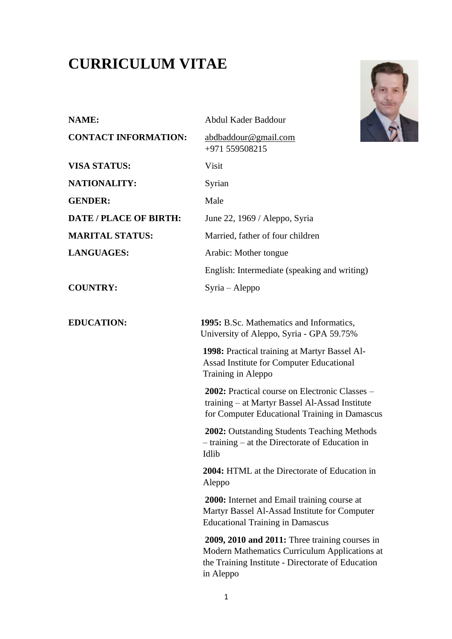# **CURRICULUM VITAE**



| <b>NAME:</b>                  | Abdul Kader Baddour                                                                                                                                               |
|-------------------------------|-------------------------------------------------------------------------------------------------------------------------------------------------------------------|
| <b>CONTACT INFORMATION:</b>   | abdbaddour@gmail.com<br>+971 559508215                                                                                                                            |
| <b>VISA STATUS:</b>           | Visit                                                                                                                                                             |
| <b>NATIONALITY:</b>           | Syrian                                                                                                                                                            |
| <b>GENDER:</b>                | Male                                                                                                                                                              |
| <b>DATE / PLACE OF BIRTH:</b> | June 22, 1969 / Aleppo, Syria                                                                                                                                     |
| <b>MARITAL STATUS:</b>        | Married, father of four children                                                                                                                                  |
| <b>LANGUAGES:</b>             | Arabic: Mother tongue                                                                                                                                             |
|                               | English: Intermediate (speaking and writing)                                                                                                                      |
| <b>COUNTRY:</b>               | $Syria - Aleppo$                                                                                                                                                  |
| <b>EDUCATION:</b>             | 1995: B.Sc. Mathematics and Informatics,<br>University of Aleppo, Syria - GPA 59.75%                                                                              |
|                               | 1998: Practical training at Martyr Bassel Al-<br>Assad Institute for Computer Educational<br>Training in Aleppo                                                   |
|                               | 2002: Practical course on Electronic Classes –<br>training – at Martyr Bassel Al-Assad Institute<br>for Computer Educational Training in Damascus                 |
|                               | 2002: Outstanding Students Teaching Methods<br>$-$ training $-$ at the Directorate of Education in<br>Idlib                                                       |
|                               | 2004: HTML at the Directorate of Education in<br>Aleppo                                                                                                           |
|                               | 2000: Internet and Email training course at<br>Martyr Bassel Al-Assad Institute for Computer<br><b>Educational Training in Damascus</b>                           |
|                               | 2009, 2010 and 2011: Three training courses in<br>Modern Mathematics Curriculum Applications at<br>the Training Institute - Directorate of Education<br>in Aleppo |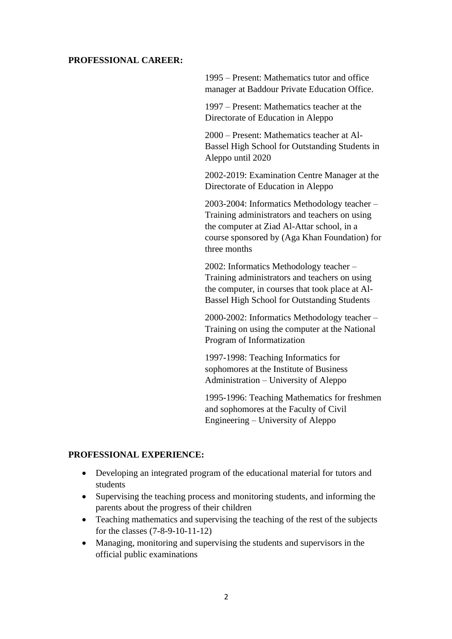#### **PROFESSIONAL CAREER:**

1995 – Present: Mathematics tutor and office manager at Baddour Private Education Office.

1997 – Present: Mathematics teacher at the Directorate of Education in Aleppo

2000 – Present: Mathematics teacher at Al-Bassel High School for Outstanding Students in Aleppo until 2020

2002-2019: Examination Centre Manager at the Directorate of Education in Aleppo

2003-2004: Informatics Methodology teacher – Training administrators and teachers on using the computer at Ziad Al-Attar school, in a course sponsored by (Aga Khan Foundation) for three months

2002: Informatics Methodology teacher – Training administrators and teachers on using the computer, in courses that took place at Al-Bassel High School for Outstanding Students

2000-2002: Informatics Methodology teacher – Training on using the computer at the National Program of Informatization

1997-1998: Teaching Informatics for sophomores at the Institute of Business Administration – University of Aleppo

1995-1996: Teaching Mathematics for freshmen and sophomores at the Faculty of Civil Engineering – University of Aleppo

#### **PROFESSIONAL EXPERIENCE:**

- Developing an integrated program of the educational material for tutors and students
- Supervising the teaching process and monitoring students, and informing the parents about the progress of their children
- Teaching mathematics and supervising the teaching of the rest of the subjects for the classes (7-8-9-10-11-12)
- Managing, monitoring and supervising the students and supervisors in the official public examinations